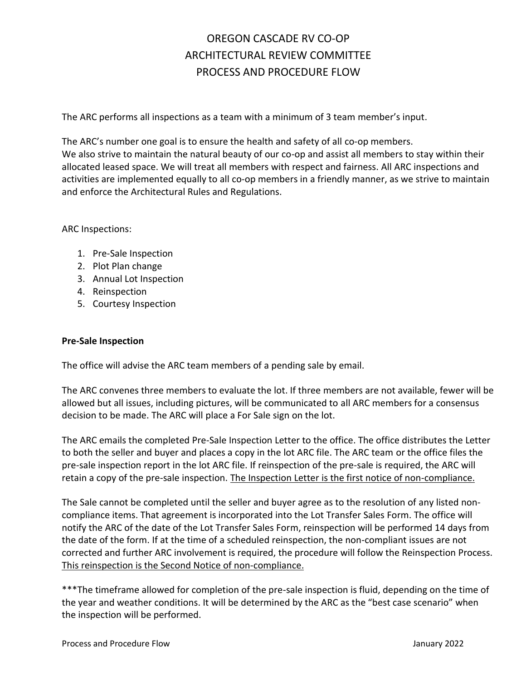# OREGON CASCADE RV CO-OP ARCHITECTURAL REVIEW COMMITTEE PROCESS AND PROCEDURE FLOW

The ARC performs all inspections as a team with a minimum of 3 team member's input.

The ARC's number one goal is to ensure the health and safety of all co-op members. We also strive to maintain the natural beauty of our co-op and assist all members to stay within their allocated leased space. We will treat all members with respect and fairness. All ARC inspections and activities are implemented equally to all co-op members in a friendly manner, as we strive to maintain and enforce the Architectural Rules and Regulations.

### ARC Inspections:

- 1. Pre-Sale Inspection
- 2. Plot Plan change
- 3. Annual Lot Inspection
- 4. Reinspection
- 5. Courtesy Inspection

#### **Pre-Sale Inspection**

The office will advise the ARC team members of a pending sale by email.

The ARC convenes three members to evaluate the lot. If three members are not available, fewer will be allowed but all issues, including pictures, will be communicated to all ARC members for a consensus decision to be made. The ARC will place a For Sale sign on the lot.

The ARC emails the completed Pre-Sale Inspection Letter to the office. The office distributes the Letter to both the seller and buyer and places a copy in the lot ARC file. The ARC team or the office files the pre-sale inspection report in the lot ARC file. If reinspection of the pre-sale is required, the ARC will retain a copy of the pre-sale inspection. The Inspection Letter is the first notice of non-compliance.

The Sale cannot be completed until the seller and buyer agree as to the resolution of any listed noncompliance items. That agreement is incorporated into the Lot Transfer Sales Form. The office will notify the ARC of the date of the Lot Transfer Sales Form, reinspection will be performed 14 days from the date of the form. If at the time of a scheduled reinspection, the non-compliant issues are not corrected and further ARC involvement is required, the procedure will follow the Reinspection Process. This reinspection is the Second Notice of non-compliance.

\*\*\*The timeframe allowed for completion of the pre-sale inspection is fluid, depending on the time of the year and weather conditions. It will be determined by the ARC as the "best case scenario" when the inspection will be performed.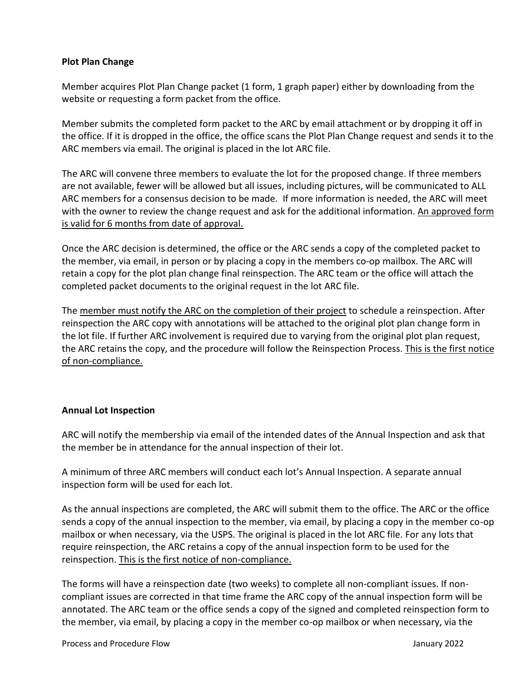## **Plot Plan Change**

Member acquires Plot Plan Change packet (1 form, 1 graph paper) either by downloading from the website or requesting a form packet from the office.

Member submits the completed form packet to the ARC by email attachment or by dropping it off in the office. If it is dropped in the office, the office scans the Plot Plan Change request and sends it to the ARC members via email. The original is placed in the lot ARC file.

The ARC will convene three members to evaluate the lot for the proposed change. If three members are not available, fewer will be allowed but all issues, including pictures, will be communicated to ALL ARC members for a consensus decision to be made. If more information is needed, the ARC will meet with the owner to review the change request and ask for the additional information. An approved form is valid for 6 months from date of approval.

Once the ARC decision is determined, the office or the ARC sends a copy of the completed packet to the member, via email, in person or by placing a copy in the members co-op mailbox. The ARC will retain a copy for the plot plan change final reinspection. The ARC team or the office will attach the completed packet documents to the original request in the lot ARC file.

The member must notify the ARC on the completion of their project to schedule a reinspection. After reinspection the ARC copy with annotations will be attached to the original plot plan change form in the lot file. If further ARC involvement is required due to varying from the original plot plan request, the ARC retains the copy, and the procedure will follow the Reinspection Process. This is the first notice of non-compliance.

## **Annual Lot Inspection**

ARC will notify the membership via email of the intended dates of the Annual Inspection and ask that the member be in attendance for the annual inspection of their lot.

A minimum of three ARC members will conduct each lot's Annual Inspection. A separate annual inspection form will be used for each lot.

As the annual inspections are completed, the ARC will submit them to the office. The ARC or the office sends a copy of the annual inspection to the member, via email, by placing a copy in the member co-op mailbox or when necessary, via the USPS. The original is placed in the lot ARC file. For any lots that require reinspection, the ARC retains a copy of the annual inspection form to be used for the reinspection. This is the first notice of non-compliance.

The forms will have a reinspection date (two weeks) to complete all non-compliant issues. If noncompliant issues are corrected in that time frame the ARC copy of the annual inspection form will be annotated. The ARC team or the office sends a copy of the signed and completed reinspection form to the member, via email, by placing a copy in the member co-op mailbox or when necessary, via the